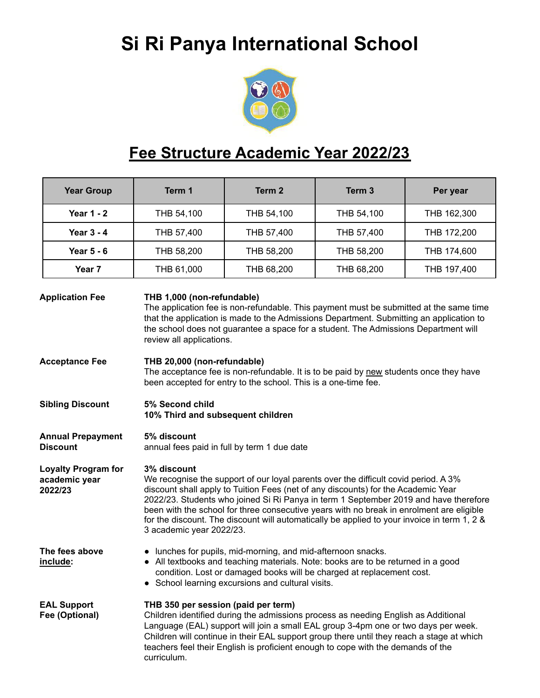## **Si Ri Panya International School**



## **Fee Structure Academic Year 2022/23**

|                                                                                                                                                                                                                 | <b>Year Group</b>                           | Term 1                                                                                                                                                                                                                                                                                                                                                                                                                                                                                                 | Term 2                   | Term <sub>3</sub> | Per year    |  |  |
|-----------------------------------------------------------------------------------------------------------------------------------------------------------------------------------------------------------------|---------------------------------------------|--------------------------------------------------------------------------------------------------------------------------------------------------------------------------------------------------------------------------------------------------------------------------------------------------------------------------------------------------------------------------------------------------------------------------------------------------------------------------------------------------------|--------------------------|-------------------|-------------|--|--|
|                                                                                                                                                                                                                 | <b>Year 1 - 2</b>                           | THB 54,100                                                                                                                                                                                                                                                                                                                                                                                                                                                                                             | THB 54,100<br>THB 54,100 |                   | THB 162,300 |  |  |
| <b>Year 3 - 4</b>                                                                                                                                                                                               |                                             | THB 57,400<br>THB 57,400<br>THB 57,400                                                                                                                                                                                                                                                                                                                                                                                                                                                                 |                          |                   | THB 172,200 |  |  |
|                                                                                                                                                                                                                 | <b>Year 5 - 6</b>                           | THB 58,200                                                                                                                                                                                                                                                                                                                                                                                                                                                                                             | THB 58,200               | THB 58,200        | THB 174,600 |  |  |
|                                                                                                                                                                                                                 | Year <sub>7</sub>                           | THB 61,000                                                                                                                                                                                                                                                                                                                                                                                                                                                                                             | THB 68,200               | THB 68,200        | THB 197,400 |  |  |
|                                                                                                                                                                                                                 | <b>Application Fee</b>                      | THB 1,000 (non-refundable)<br>The application fee is non-refundable. This payment must be submitted at the same time<br>that the application is made to the Admissions Department. Submitting an application to<br>the school does not guarantee a space for a student. The Admissions Department will<br>review all applications.                                                                                                                                                                     |                          |                   |             |  |  |
| <b>Acceptance Fee</b><br>THB 20,000 (non-refundable)<br>The acceptance fee is non-refundable. It is to be paid by new students once they have<br>been accepted for entry to the school. This is a one-time fee. |                                             |                                                                                                                                                                                                                                                                                                                                                                                                                                                                                                        |                          |                   |             |  |  |
| <b>Sibling Discount</b><br>5% Second child<br>10% Third and subsequent children                                                                                                                                 |                                             |                                                                                                                                                                                                                                                                                                                                                                                                                                                                                                        |                          |                   |             |  |  |
|                                                                                                                                                                                                                 | <b>Annual Prepayment</b><br><b>Discount</b> | 5% discount<br>annual fees paid in full by term 1 due date                                                                                                                                                                                                                                                                                                                                                                                                                                             |                          |                   |             |  |  |
| <b>Loyalty Program for</b><br>academic year<br>2022/23                                                                                                                                                          |                                             | 3% discount<br>We recognise the support of our loyal parents over the difficult covid period. A 3%<br>discount shall apply to Tuition Fees (net of any discounts) for the Academic Year<br>2022/23. Students who joined Si Ri Panya in term 1 September 2019 and have therefore<br>been with the school for three consecutive years with no break in enrolment are eligible<br>for the discount. The discount will automatically be applied to your invoice in term 1, 2 &<br>3 academic year 2022/23. |                          |                   |             |  |  |
| The fees above<br>include:                                                                                                                                                                                      |                                             | • lunches for pupils, mid-morning, and mid-afternoon snacks.<br>All textbooks and teaching materials. Note: books are to be returned in a good<br>condition. Lost or damaged books will be charged at replacement cost.<br>• School learning excursions and cultural visits.                                                                                                                                                                                                                           |                          |                   |             |  |  |
| <b>EAL Support</b><br>Fee (Optional)                                                                                                                                                                            |                                             | THB 350 per session (paid per term)<br>Children identified during the admissions process as needing English as Additional<br>Language (EAL) support will join a small EAL group 3-4pm one or two days per week.<br>Children will continue in their EAL support group there until they reach a stage at which<br>teachers feel their English is proficient enough to cope with the demands of the<br>curriculum.                                                                                        |                          |                   |             |  |  |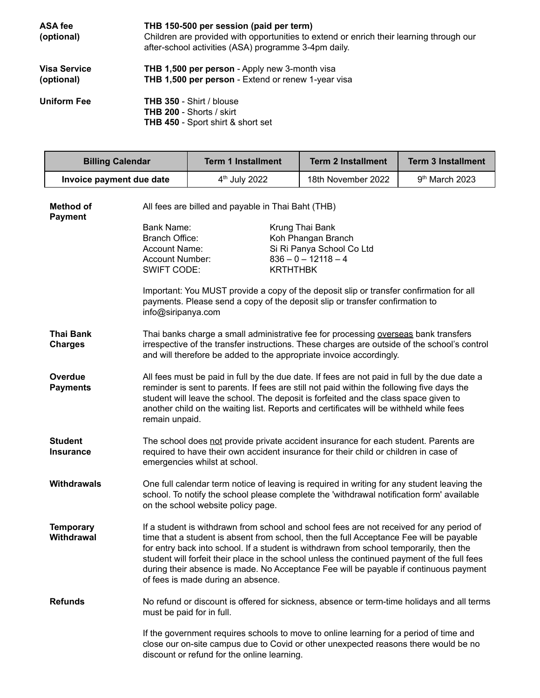| ASA fee<br>(optional)             | THB 150-500 per session (paid per term)<br>Children are provided with opportunities to extend or enrich their learning through our<br>after-school activities (ASA) programme 3-4pm daily. |
|-----------------------------------|--------------------------------------------------------------------------------------------------------------------------------------------------------------------------------------------|
| <b>Visa Service</b><br>(optional) | <b>THB 1,500 per person</b> - Apply new 3-month visa<br>THB 1,500 per person - Extend or renew 1-year visa                                                                                 |
| Uniform Fee                       | <b>THB 350 - Shirt / blouse</b><br><b>THB 200 - Shorts / skirt</b><br><b>THB 450</b> - Sport shirt & short set                                                                             |

Г

| <b>Billing Calendar</b>                                                                                                                                          |                                                                                                                                                                                                                                                                                                                                                                                                  | <b>Term 1 Installment</b>                                                                                                                                                                                                                                                                                                                               | <b>Term 2 Installment</b>                                                                                                                                                                                                                                                                                                                                                                                                                                               | <b>Term 3 Installment</b>  |  |  |
|------------------------------------------------------------------------------------------------------------------------------------------------------------------|--------------------------------------------------------------------------------------------------------------------------------------------------------------------------------------------------------------------------------------------------------------------------------------------------------------------------------------------------------------------------------------------------|---------------------------------------------------------------------------------------------------------------------------------------------------------------------------------------------------------------------------------------------------------------------------------------------------------------------------------------------------------|-------------------------------------------------------------------------------------------------------------------------------------------------------------------------------------------------------------------------------------------------------------------------------------------------------------------------------------------------------------------------------------------------------------------------------------------------------------------------|----------------------------|--|--|
| Invoice payment due date                                                                                                                                         |                                                                                                                                                                                                                                                                                                                                                                                                  | 4 <sup>th</sup> July 2022                                                                                                                                                                                                                                                                                                                               | 18th November 2022                                                                                                                                                                                                                                                                                                                                                                                                                                                      | 9 <sup>th</sup> March 2023 |  |  |
| Method of<br><b>Payment</b><br><b>Bank Name:</b><br><b>Branch Office:</b><br>Account Name:<br><b>Account Number:</b><br><b>SWIFT CODE:</b><br>info@siripanya.com |                                                                                                                                                                                                                                                                                                                                                                                                  | All fees are billed and payable in Thai Baht (THB)<br>Krung Thai Bank<br>Koh Phangan Branch<br>Si Ri Panya School Co Ltd<br>$836 - 0 - 12118 - 4$<br><b>KRTHTHBK</b><br>Important: You MUST provide a copy of the deposit slip or transfer confirmation for all<br>payments. Please send a copy of the deposit slip or transfer confirmation to         |                                                                                                                                                                                                                                                                                                                                                                                                                                                                         |                            |  |  |
| Thai Bank<br><b>Charges</b>                                                                                                                                      | Thai banks charge a small administrative fee for processing overseas bank transfers<br>irrespective of the transfer instructions. These charges are outside of the school's control<br>and will therefore be added to the appropriate invoice accordingly.                                                                                                                                       |                                                                                                                                                                                                                                                                                                                                                         |                                                                                                                                                                                                                                                                                                                                                                                                                                                                         |                            |  |  |
| <b>Overdue</b><br><b>Payments</b>                                                                                                                                | All fees must be paid in full by the due date. If fees are not paid in full by the due date a<br>reminder is sent to parents. If fees are still not paid within the following five days the<br>student will leave the school. The deposit is forfeited and the class space given to<br>another child on the waiting list. Reports and certificates will be withheld while fees<br>remain unpaid. |                                                                                                                                                                                                                                                                                                                                                         |                                                                                                                                                                                                                                                                                                                                                                                                                                                                         |                            |  |  |
| <b>Student</b><br><b>Insurance</b>                                                                                                                               | The school does not provide private accident insurance for each student. Parents are<br>required to have their own accident insurance for their child or children in case of<br>emergencies whilst at school.                                                                                                                                                                                    |                                                                                                                                                                                                                                                                                                                                                         |                                                                                                                                                                                                                                                                                                                                                                                                                                                                         |                            |  |  |
| <b>Withdrawals</b>                                                                                                                                               |                                                                                                                                                                                                                                                                                                                                                                                                  | One full calendar term notice of leaving is required in writing for any student leaving the<br>school. To notify the school please complete the 'withdrawal notification form' available<br>on the school website policy page.                                                                                                                          |                                                                                                                                                                                                                                                                                                                                                                                                                                                                         |                            |  |  |
| <b>Temporary</b><br>Withdrawal<br>of fees is made during an absence.                                                                                             |                                                                                                                                                                                                                                                                                                                                                                                                  |                                                                                                                                                                                                                                                                                                                                                         | If a student is withdrawn from school and school fees are not received for any period of<br>time that a student is absent from school, then the full Acceptance Fee will be payable<br>for entry back into school. If a student is withdrawn from school temporarily, then the<br>student will forfeit their place in the school unless the continued payment of the full fees<br>during their absence is made. No Acceptance Fee will be payable if continuous payment |                            |  |  |
| <b>Refunds</b>                                                                                                                                                   |                                                                                                                                                                                                                                                                                                                                                                                                  | No refund or discount is offered for sickness, absence or term-time holidays and all terms<br>must be paid for in full.<br>If the government requires schools to move to online learning for a period of time and<br>close our on-site campus due to Covid or other unexpected reasons there would be no<br>discount or refund for the online learning. |                                                                                                                                                                                                                                                                                                                                                                                                                                                                         |                            |  |  |